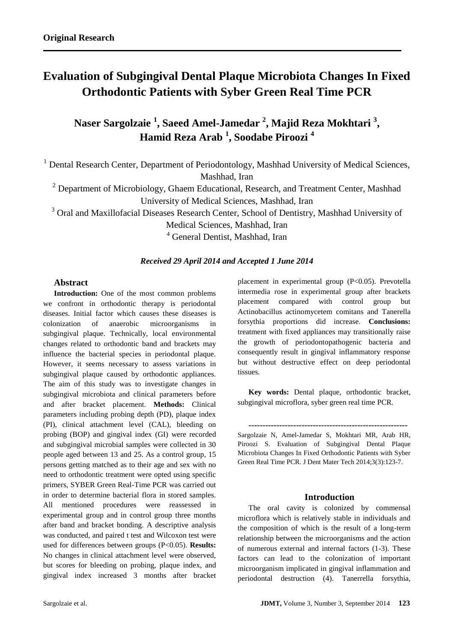# **Evaluation of Subgingival Dental Plaque Microbiota Changes In Fixed Orthodontic Patients with Syber Green Real Time PCR**

**Naser Sargolzaie <sup>1</sup> , Saeed Amel-Jamedar <sup>2</sup> , Majid Reza Mokhtari <sup>3</sup> , Hamid Reza Arab <sup>1</sup> , Soodabe Piroozi <sup>4</sup>**

<sup>1</sup> Dental Research Center, Department of Periodontology, Mashhad University of Medical Sciences, Mashhad, Iran

 $2$  Department of Microbiology, Ghaem Educational, Research, and Treatment Center, Mashhad University of Medical Sciences, Mashhad, Iran

<sup>3</sup> Oral and Maxillofacial Diseases Research Center, School of Dentistry, Mashhad University of

Medical Sciences, Mashhad, Iran

<sup>4</sup> General Dentist, Mashhad, Iran

## *Received 29 April 2014 and Accepted 1 June 2014*

## **Abstract**

**Introduction:** One of the most common problems we confront in orthodontic therapy is periodontal diseases. Initial factor which causes these diseases is colonization of anaerobic microorganisms in subgingival plaque. Technically, local environmental changes related to orthodontic band and brackets may influence the bacterial species in periodontal plaque. However, it seems necessary to assess variations in subgingival plaque caused by orthodontic appliances. The aim of this study was to investigate changes in subgingival microbiota and clinical parameters before and after bracket placement. **Methods:** Clinical parameters including probing depth (PD), plaque index (PI), clinical attachment level (CAL), bleeding on probing (BOP) and gingival index (GI) were recorded and subgingival microbial samples were collected in 30 people aged between 13 and 25. As a control group, 15 persons getting matched as to their age and sex with no need to orthodontic treatment were opted using specific primers, SYBER Green Real-Time PCR was carried out in order to determine bacterial flora in stored samples. All mentioned procedures were reassessed in experimental group and in control group three months after band and bracket bonding. A descriptive analysis was conducted, and paired t test and Wilcoxon test were used for differences between groups (P<0.05). **Results:** No changes in clinical attachment level were observed, but scores for bleeding on probing, plaque index, and gingival index increased 3 months after bracket placement in experimental group (P<0.05). Prevotella intermedia rose in experimental group after brackets placement compared with control group but Actinobacillus actinomycetem comitans and Tanerella forsythia proportions did increase. **Conclusions:** treatment with fixed appliances may transitionally raise the growth of periodontopathogenic bacteria and consequently result in gingival inflammatory response but without destructive effect on deep periodontal tissues.

**Key words:** Dental plaque, orthodontic bracket, subgingival microflora, syber green real time PCR.

Sargolzaie N, Amel-Jamedar S, Mokhtari MR, Arab HR, Piroozi S. Evaluation of Subgingival Dental Plaque Microbiota Changes In Fixed Orthodontic Patients with Syber Green Real Time PCR. J Dent Mater Tech 2014;3(3):123-7.

**---------------------------------------------------------**

### **Introduction**

The oral cavity is colonized by commensal microflora which is relatively stable in individuals and the composition of which is the result of a long-term relationship between the microorganisms and the action of numerous external and internal factors (1-3). These factors can lead to the colonization of important microorganism implicated in gingival inflammation and periodontal destruction (4). Tanerrella forsythia,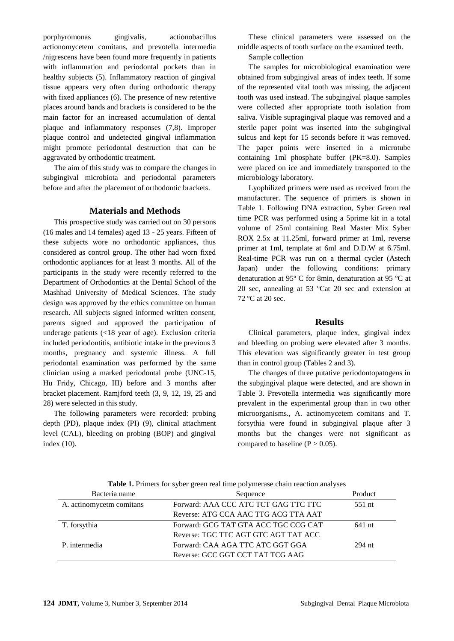porphyromonas gingivalis, actionobacillus actionomycetem comitans, and prevotella intermedia /nigrescens have been found more frequently in patients with inflammation and periodontal pockets than in healthy subjects (5). Inflammatory reaction of gingival tissue appears very often during orthodontic therapy with fixed appliances (6). The presence of new retentive places around bands and brackets is considered to be the main factor for an increased accumulation of dental plaque and inflammatory responses (7,8). Improper plaque control and undetected gingival inflammation might promote periodontal destruction that can be aggravated by orthodontic treatment.

The aim of this study was to compare the changes in subgingival microbiota and periodontal parameters before and after the placement of orthodontic brackets.

## **Materials and Methods**

This prospective study was carried out on 30 persons (16 males and 14 females) aged 13 - 25 years. Fifteen of these subjects wore no orthodontic appliances, thus considered as control group. The other had worn fixed orthodontic appliances for at least 3 months. All of the participants in the study were recently referred to the Department of Orthodontics at the Dental School of the Mashhad University of Medical Sciences. The study design was approved by the ethics committee on human research. All subjects signed informed written consent, parents signed and approved the participation of underage patients (<18 year of age). Exclusion criteria included periodontitis, antibiotic intake in the previous 3 months, pregnancy and systemic illness. A full periodontal examination was performed by the same clinician using a marked periodontal probe (UNC-15, Hu Fridy, Chicago, III) before and 3 months after bracket placement. Ramjford teeth (3, 9, 12, 19, 25 and 28) were selected in this study.

The following parameters were recorded: probing depth (PD), plaque index (PI) (9), clinical attachment level (CAL), bleeding on probing (BOP) and gingival index (10).

These clinical parameters were assessed on the middle aspects of tooth surface on the examined teeth.

Sample collection

The samples for microbiological examination were obtained from subgingival areas of index teeth. If some of the represented vital tooth was missing, the adjacent tooth was used instead. The subgingival plaque samples were collected after appropriate tooth isolation from saliva. Visible supragingival plaque was removed and a sterile paper point was inserted into the subgingival sulcus and kept for 15 seconds before it was removed. The paper points were inserted in a microtube containing 1ml phosphate buffer (PK=8.0). Samples were placed on ice and immediately transported to the microbiology laboratory.

Lyophilized primers were used as received from the manufacturer. The sequence of primers is shown in Table 1. Following DNA extraction, Syber Green real time PCR was performed using a 5prime kit in a total volume of 25ml containing Real Master Mix Syber ROX 2.5x at 11.25ml, forward primer at 1ml, reverse primer at 1ml, template at 6ml and D.D.W at 6.75ml. Real-time PCR was run on a thermal cycler (Astech Japan) under the following conditions: primary denaturation at 95º C for 8min, denaturation at 95 ºC at 20 sec, annealing at 53 ºCat 20 sec and extension at 72 ºC at 20 sec.

### **Results**

Clinical parameters, plaque index, gingival index and bleeding on probing were elevated after 3 months. This elevation was significantly greater in test group than in control group (Tables 2 and 3).

The changes of three putative periodontopatogens in the subgingival plaque were detected, and are shown in Table 3. Prevotella intermedia was significantly more prevalent in the experimental group than in two other microorganisms., A. actinomycetem comitans and T. forsythia were found in subgingival plaque after 3 months but the changes were not significant as compared to baseline ( $P > 0.05$ ).

| Bacteria name            | Sequence                             |        |
|--------------------------|--------------------------------------|--------|
| A. actinomycetm comitans | Forward: AAA CCC ATC TCT GAG TTC TTC | 551 nt |
|                          | Reverse: ATG CCA AAC TTG ACG TTA AAT |        |
| T. forsythia             | Forward: GCG TAT GTA ACC TGC CCG CAT | 641 nt |
|                          | Reverse: TGC TTC AGT GTC AGT TAT ACC |        |
| P. intermedia            | Forward: CAA AGA TTC ATC GGT GGA     | 294 nt |
|                          | Reverse: GCC GGT CCT TAT TCG AAG     |        |

**Table 1.** Primers for syber green real time polymerase chain reaction analyses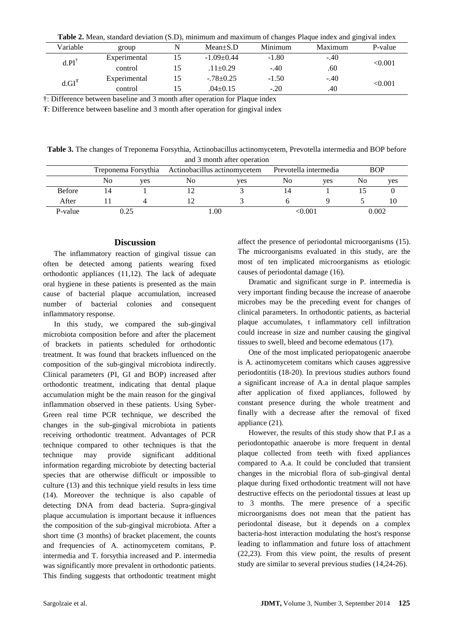| Table 2. Mean, standard deviation (S.D), minimum and maximum of changes Plaque index and gingival index |              |  |                 |         |         |         |  |  |
|---------------------------------------------------------------------------------------------------------|--------------|--|-----------------|---------|---------|---------|--|--|
| Variable                                                                                                | group        |  | $Mean \pm S.D$  | Minimum | Maximum | P-value |  |  |
| $d.PI^{\dagger}$                                                                                        | Experimental |  | $-1.09+0.44$    | $-1.80$ | $-.40$  | < 0.001 |  |  |
|                                                                                                         | control      |  | $.11 \pm 0.29$  | $-.40$  | .60     |         |  |  |
| $d.GI^T$                                                                                                | Experimental |  | $-.78 \pm 0.25$ | $-1.50$ | $-.40$  | < 0.001 |  |  |
|                                                                                                         | control      |  | $.04+0.15$      | $-.20$  | .40     |         |  |  |

†: Difference between baseline and 3 month after operation for Plaque index

₮: Difference between baseline and 3 month after operation for gingival index

**Table 3.** The changes of Treponema Forsythia, Actinobacillus actinomycetem, Prevotella intermedia and BOP before and 3 month after operation

|               |      |     | Treponema Forsythia Actinobacillus actinomycetem |     | Prevotella intermedia |     | <b>BOP</b> |     |
|---------------|------|-----|--------------------------------------------------|-----|-----------------------|-----|------------|-----|
|               | No   | ves | No                                               | ves | No                    | ves | No         | yes |
| <b>Before</b> |      |     |                                                  |     |                       |     |            |     |
| After         |      |     |                                                  |     |                       |     |            |     |
| P-value       | 0.25 |     | .00                                              |     | 0.001/                |     | 0.002      |     |

#### **Discussion**

The inflammatory reaction of gingival tissue can often be detected among patients wearing fixed orthodontic appliances (11,12). The lack of adequate oral hygiene in these patients is presented as the main cause of bacterial plaque accumulation, increased number of bacterial colonies and consequent inflammatory response.

In this study, we compared the sub-gingival microbiota composition before and after the placement of brackets in patients scheduled for orthodontic treatment. It was found that brackets influenced on the composition of the sub-gingival microbiota indirectly. Clinical parameters (PI, GI and BOP) increased after orthodontic treatment, indicating that dental plaque accumulation might be the main reason for the gingival inflammation observed in these patients. Using Syber-Green real time PCR technique, we described the changes in the sub-gingival microbiota in patients receiving orthodontic treatment. Advantages of PCR technique compared to other techniques is that the technique may provide significant additional information regarding microbiote by detecting bacterial species that are otherwise difficult or impossible to culture (13) and this technique yield results in less time (14). Moreover the technique is also capable of detecting DNA from dead bacteria. Supra-gingival plaque accumulation is important because it influences the composition of the sub-gingival microbiota. After a short time (3 months) of bracket placement, the counts and frequencies of A. actinomycetem comitans, P. intermedia and T. forsythia increased and P. intermedia was significantly more prevalent in orthodontic patients. This finding suggests that orthodontic treatment might

affect the presence of periodontal microorganisms (15). The microorganisms evaluated in this study, are the most of ten implicated microorganisms as etiologic causes of periodontal damage (16).

Dramatic and significant surge in P. intermedia is very important finding because the increase of anaerobe microbes may be the preceding event for changes of clinical parameters. In orthodontic patients, as bacterial plaque accumulates, t inflammatory cell infiltration could increase in size and number causing the gingival tissues to swell, bleed and become edematous (17).

One of the most implicated periopatogenic anaerobe is A. actinomycetem comitans which causes aggressive periodontitis (18-20). In previous studies authors found a significant increase of A.a in dental plaque samples after application of fixed appliances, followed by constant presence during the whole treatment and finally with a decrease after the removal of fixed appliance (21).

However, the results of this study show that P.I as a periodontopathic anaerobe is more frequent in dental plaque collected from teeth with fixed appliances compared to A.a. It could be concluded that transient changes in the microbial flora of sub-gingival dental plaque during fixed orthodontic treatment will not have destructive effects on the periodontal tissues at least up to 3 months. The mere presence of a specific microorganisms does not mean that the patient has periodontal disease, but it depends on a complex bacteria-host interaction modulating the host's response leading to inflammation and future loss of attachment (22,23). From this view point, the results of present study are similar to several previous studies (14,24-26).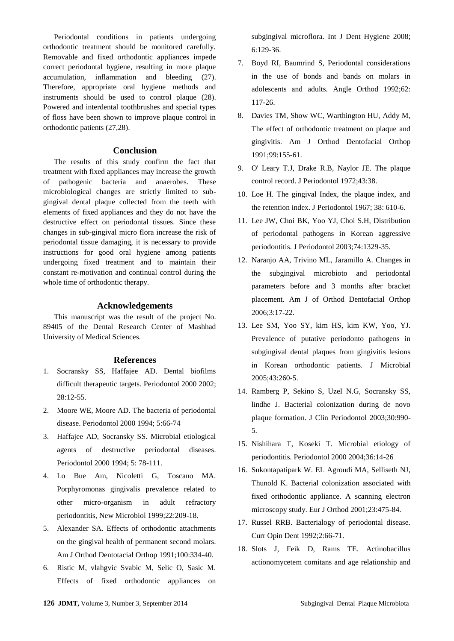Periodontal conditions in patients undergoing orthodontic treatment should be monitored carefully. Removable and fixed orthodontic appliances impede correct periodontal hygiene, resulting in more plaque accumulation, inflammation and bleeding (27). Therefore, appropriate oral hygiene methods and instruments should be used to control plaque (28). Powered and interdental toothbrushes and special types of floss have been shown to improve plaque control in orthodontic patients (27,28).

#### **Conclusion**

The results of this study confirm the fact that treatment with fixed appliances may increase the growth of pathogenic bacteria and anaerobes. These microbiological changes are strictly limited to subgingival dental plaque collected from the teeth with elements of fixed appliances and they do not have the destructive effect on periodontal tissues. Since these changes in sub-gingival micro flora increase the risk of periodontal tissue damaging, it is necessary to provide instructions for good oral hygiene among patients undergoing fixed treatment and to maintain their constant re-motivation and continual control during the whole time of orthodontic therapy.

### **Acknowledgements**

This manuscript was the result of the project No. 89405 of the Dental Research Center of Mashhad University of Medical Sciences.

#### **References**

- 1. Socransky SS, Haffajee AD. Dental biofilms difficult therapeutic targets. Periodontol 2000 2002; 28:12-55.
- 2. Moore WE, Moore AD. The bacteria of periodontal disease. Periodontol 2000 1994; 5:66-74
- 3. Haffajee AD, Socransky SS. Microbial etiological agents of destructive periodontal diseases. Periodontol 2000 1994; 5: 78-111.
- 4. Lo Bue Am, Nicoletti G, Toscano MA. Porphyromonas gingivalis prevalence related to other micro-organism in adult refractory periodontitis, New Microbiol 1999;22:209-18.
- 5. Alexander SA. Effects of orthodontic attachments on the gingival health of permanent second molars. Am J Orthod Dentotacial Orthop 1991;100:334-40.
- 6. Ristic M, vlahgvic Svabic M, Selic O, Sasic M. Effects of fixed orthodontic appliances on

subgingival microflora. Int J Dent Hygiene 2008; 6:129-36.

- 7. Boyd RI, Baumrind S, Periodontal considerations in the use of bonds and bands on molars in adolescents and adults. Angle Orthod 1992;62: 117-26.
- 8. Davies TM, Show WC, Warthington HU, Addy M, The effect of orthodontic treatment on plaque and gingivitis. Am J Orthod Dentofacial Orthop 1991;99:155-61.
- 9. O' Leary T.J, Drake R.B, Naylor JE. The plaque control record. J Periodontol 1972;43:38.
- 10. Loe H. The gingival Index, the plaque index, and the retention index. J Periodontol 1967; 38: 610-6.
- 11. Lee JW, Choi BK, Yoo YJ, Choi S.H, Distribution of periodontal pathogens in Korean aggressive periodontitis. J Periodontol 2003;74:1329-35.
- 12. Naranjo AA, Trivino ML, Jaramillo A. Changes in the subgingival microbioto and periodontal parameters before and 3 months after bracket placement. Am J of Orthod Dentofacial Orthop 2006;3:17-22.
- 13. Lee SM, Yoo SY, kim HS, kim KW, Yoo, YJ. Prevalence of putative periodonto pathogens in subgingival dental plaques from gingivitis lesions in Korean orthodontic patients. J Microbial 2005;43:260-5.
- 14. Ramberg P, Sekino S, Uzel N.G, Socransky SS, lindhe J. Bacterial colonization during de novo plaque formation. J Clin Periodontol 2003;30:990- 5.
- 15. Nishihara T, Koseki T. Microbial etiology of periodontitis. Periodontol 2000 2004;36:14-26
- 16. Sukontapatipark W. EL Agroudi MA, Selliseth NJ, Thunold K. Bacterial colonization associated with fixed orthodontic appliance. A scanning electron microscopy study. Eur J Orthod 2001;23:475-84.
- 17. Russel RRB. Bacterialogy of periodontal disease. Curr Opin Dent 1992;2:66-71.
- 18. Slots J, Feik D, Rams TE. Actinobacillus actionomycetem comitans and age relationship and